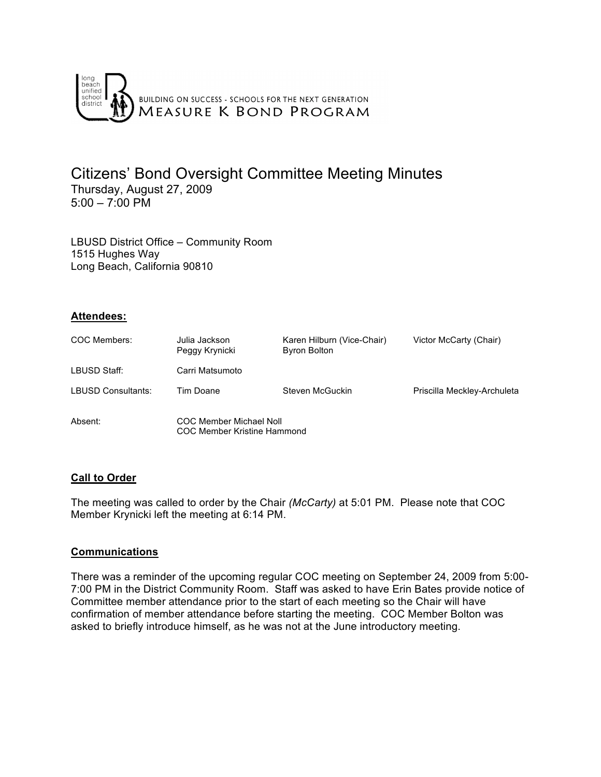

## Citizens' Bond Oversight Committee Meeting Minutes Thursday, August 27, 2009  $5:00 - 7:00 \text{ PM}$

LBUSD District Office – Community Room 1515 Hughes Way Long Beach, California 90810

#### **Attendees:**

| COC Members:       | Julia Jackson<br>Peggy Krynicki | Karen Hilburn (Vice-Chair)<br><b>Byron Bolton</b> | Victor McCarty (Chair)      |
|--------------------|---------------------------------|---------------------------------------------------|-----------------------------|
| LBUSD Staff:       | Carri Matsumoto                 |                                                   |                             |
| LBUSD Consultants: | Tim Doane                       | Steven McGuckin                                   | Priscilla Meckley-Archuleta |
| Absent:            | <b>COC Member Michael Noll</b>  |                                                   |                             |

#### **Call to Order**

The meeting was called to order by the Chair *(McCarty)* at 5:01 PM. Please note that COC Member Krynicki left the meeting at 6:14 PM.

COC Member Kristine Hammond

#### **Communications**

There was a reminder of the upcoming regular COC meeting on September 24, 2009 from 5:00- 7:00 PM in the District Community Room. Staff was asked to have Erin Bates provide notice of Committee member attendance prior to the start of each meeting so the Chair will have confirmation of member attendance before starting the meeting. COC Member Bolton was asked to briefly introduce himself, as he was not at the June introductory meeting.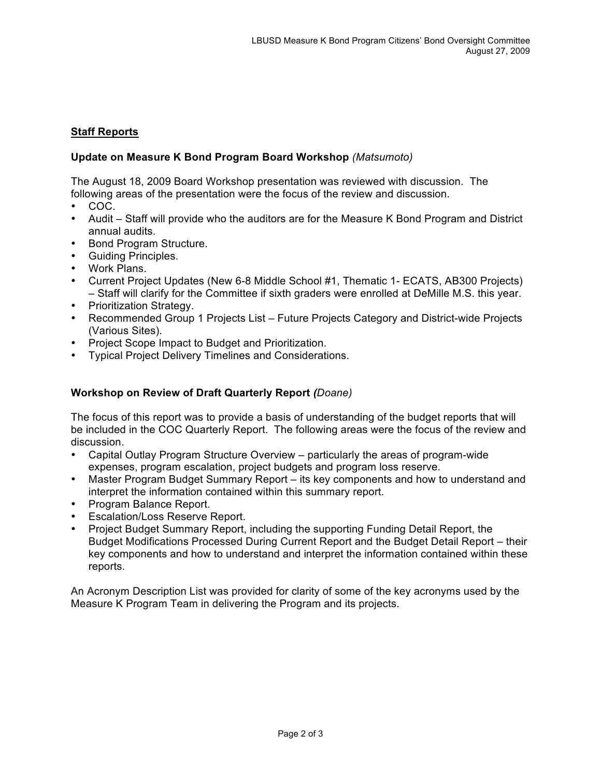## **Staff Reports**

### **Update on Measure K Bond Program Board Workshop** *(Matsumoto)*

The August 18, 2009 Board Workshop presentation was reviewed with discussion. The following areas of the presentation were the focus of the review and discussion.

- COC.
- Audit Staff will provide who the auditors are for the Measure K Bond Program and District annual audits.
- Bond Program Structure.
- Guiding Principles.
- Work Plans.
- Current Project Updates (New 6-8 Middle School #1, Thematic 1- ECATS, AB300 Projects) – Staff will clarify for the Committee if sixth graders were enrolled at DeMille M.S. this year.
- Prioritization Strategy.
- Recommended Group 1 Projects List Future Projects Category and District-wide Projects (Various Sites).
- Project Scope Impact to Budget and Prioritization.
- Typical Project Delivery Timelines and Considerations.

### **Workshop on Review of Draft Quarterly Report** *(Doane)*

The focus of this report was to provide a basis of understanding of the budget reports that will be included in the COC Quarterly Report. The following areas were the focus of the review and discussion.

- Capital Outlay Program Structure Overview particularly the areas of program-wide expenses, program escalation, project budgets and program loss reserve.
- Master Program Budget Summary Report its key components and how to understand and interpret the information contained within this summary report.
- Program Balance Report.
- Escalation/Loss Reserve Report.
- Project Budget Summary Report, including the supporting Funding Detail Report, the Budget Modifications Processed During Current Report and the Budget Detail Report – their key components and how to understand and interpret the information contained within these reports.

An Acronym Description List was provided for clarity of some of the key acronyms used by the Measure K Program Team in delivering the Program and its projects.